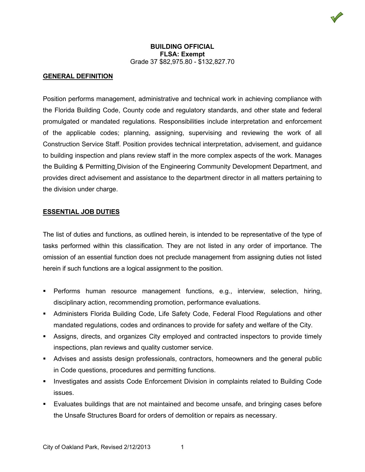## **GENERAL DEFINITION**

Position performs management, administrative and technical work in achieving compliance with the Florida Building Code, County code and regulatory standards, and other state and federal promulgated or mandated regulations. Responsibilities include interpretation and enforcement of the applicable codes; planning, assigning, supervising and reviewing the work of all Construction Service Staff. Position provides technical interpretation, advisement, and guidance to building inspection and plans review staff in the more complex aspects of the work. Manages the Building & Permitting Division of the Engineering Community Development Department, and provides direct advisement and assistance to the department director in all matters pertaining to the division under charge.

#### **ESSENTIAL JOB DUTIES**

The list of duties and functions, as outlined herein, is intended to be representative of the type of tasks performed within this classification. They are not listed in any order of importance. The omission of an essential function does not preclude management from assigning duties not listed herein if such functions are a logical assignment to the position.

- Performs human resource management functions, e.g., interview, selection, hiring, disciplinary action, recommending promotion, performance evaluations.
- Administers Florida Building Code, Life Safety Code, Federal Flood Regulations and other mandated regulations, codes and ordinances to provide for safety and welfare of the City.
- Assigns, directs, and organizes City employed and contracted inspectors to provide timely inspections, plan reviews and quality customer service.
- Advises and assists design professionals, contractors, homeowners and the general public in Code questions, procedures and permitting functions.
- **Investigates and assists Code Enforcement Division in complaints related to Building Code** issues.
- Evaluates buildings that are not maintained and become unsafe, and bringing cases before the Unsafe Structures Board for orders of demolition or repairs as necessary.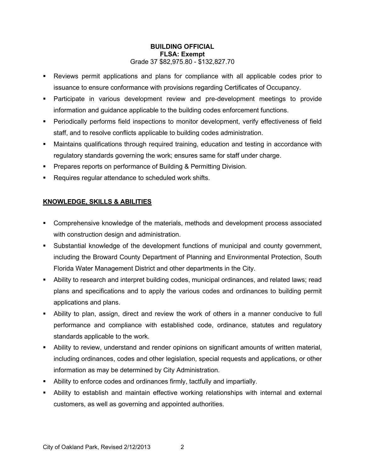- Reviews permit applications and plans for compliance with all applicable codes prior to issuance to ensure conformance with provisions regarding Certificates of Occupancy.
- Participate in various development review and pre-development meetings to provide information and guidance applicable to the building codes enforcement functions.
- Periodically performs field inspections to monitor development, verify effectiveness of field staff, and to resolve conflicts applicable to building codes administration.
- Maintains qualifications through required training, education and testing in accordance with regulatory standards governing the work; ensures same for staff under charge.
- **Prepares reports on performance of Building & Permitting Division.**
- Requires regular attendance to scheduled work shifts.

# **KNOWLEDGE, SKILLS & ABILITIES**

- **Comprehensive knowledge of the materials, methods and development process associated** with construction design and administration.
- Substantial knowledge of the development functions of municipal and county government, including the Broward County Department of Planning and Environmental Protection, South Florida Water Management District and other departments in the City.
- Ability to research and interpret building codes, municipal ordinances, and related laws; read plans and specifications and to apply the various codes and ordinances to building permit applications and plans.
- Ability to plan, assign, direct and review the work of others in a manner conducive to full performance and compliance with established code, ordinance, statutes and regulatory standards applicable to the work.
- Ability to review, understand and render opinions on significant amounts of written material, including ordinances, codes and other legislation, special requests and applications, or other information as may be determined by City Administration.
- Ability to enforce codes and ordinances firmly, tactfully and impartially.
- Ability to establish and maintain effective working relationships with internal and external customers, as well as governing and appointed authorities.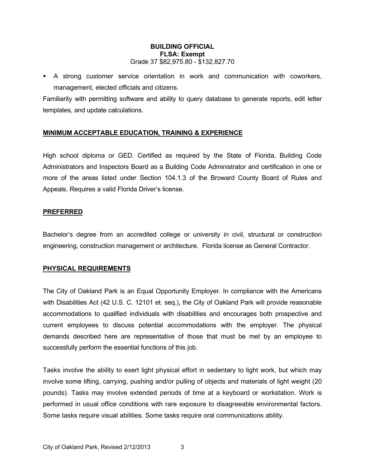A strong customer service orientation in work and communication with coworkers, management, elected officials and citizens.

Familiarity with permitting software and ability to query database to generate reports, edit letter templates, and update calculations.

# **MINIMUM ACCEPTABLE EDUCATION, TRAINING & EXPERIENCE**

High school diploma or GED. Certified as required by the State of Florida, Building Code Administrators and Inspectors Board as a Building Code Administrator and certification in one or more of the areas listed under Section 104.1.3 of the Broward County Board of Rules and Appeals. Requires a valid Florida Driver's license.

## **PREFERRED**

Bachelor's degree from an accredited college or university in civil, structural or construction engineering, construction management or architecture. Florida license as General Contractor.

## **PHYSICAL REQUIREMENTS**

The City of Oakland Park is an Equal Opportunity Employer. In compliance with the Americans with Disabilities Act (42 U.S. C. 12101 et. seq.), the City of Oakland Park will provide reasonable accommodations to qualified individuals with disabilities and encourages both prospective and current employees to discuss potential accommodations with the employer. The physical demands described here are representative of those that must be met by an employee to successfully perform the essential functions of this job.

Tasks involve the ability to exert light physical effort in sedentary to light work, but which may involve some lifting, carrying, pushing and/or pulling of objects and materials of light weight (20 pounds). Tasks may involve extended periods of time at a keyboard or workstation. Work is performed in usual office conditions with rare exposure to disagreeable environmental factors. Some tasks require visual abilities. Some tasks require oral communications ability.